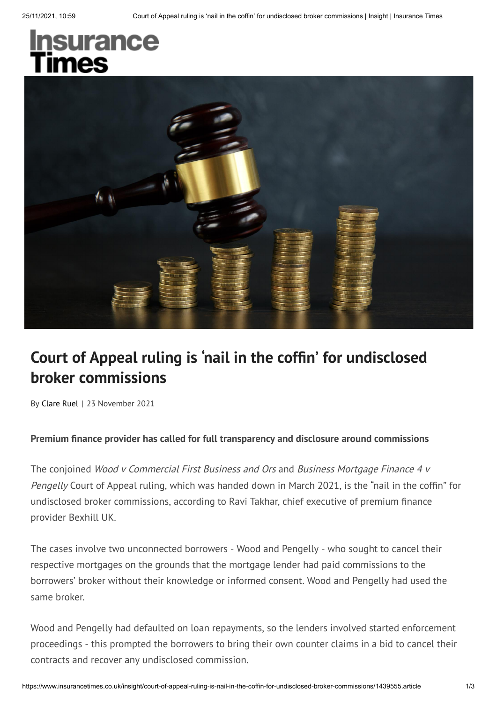# <u>In</u>surance mes



## **Court of Appeal ruling is ' nail in the cofn' for undisclosed broker commissions**

By Clare Ruel | 23 November 2021

#### **Premium nance provider has called for full transparency and disclosure around commissions**

The conjoined Wood v Commercial First Business and Ors and Business Mortgage Finance 4 v Pengelly Court of Appeal ruling, which was handed down in March 2021, is the "nail in the coffin" for undisclosed broker commissions, according to Ravi Takhar, chief executive of premium finance provider Bexhill UK.

The cases involve two unconnected borrowers - Wood and Pengelly - who sought to cancel their respective mortgages on the grounds that the mortgage lender had paid commissions to the borrowers' broker without their knowledge or informed consent. Wood and Pengelly had used the same broker.

Wood and Pengelly had defaulted on loan repayments, so the lenders involved started enforcement proceedings - this prompted the borrowers to bring their own counter claims in a bid to cancel their contracts and recover any undisclosed commission.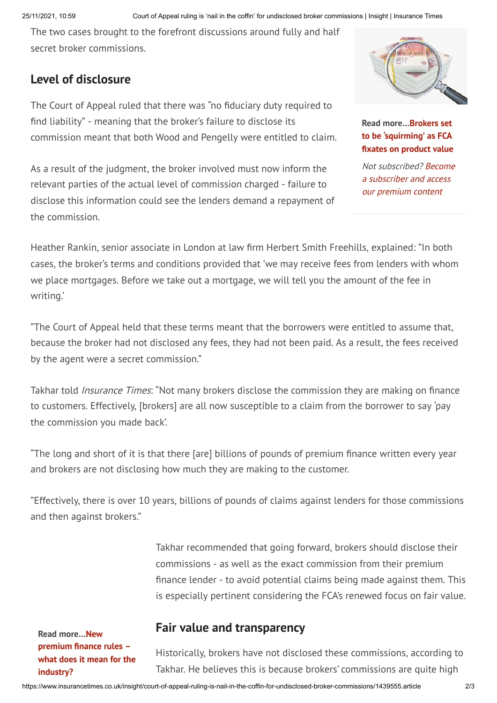The two cases brought to the forefront discussions around fully and half secret broker commissions.

### **Level of disclosure**

The Court of Appeal ruled that there was "no fiduciary duty required to find liability" - meaning that the broker's failure to disclose its commission meant that both Wood and Pengelly were entitled to claim.

As a result of the judgment, the broker involved must now inform the relevant parties of the actual level of commission charged - failure to disclose this information could see the lenders demand a repayment of the commission.



**Read more…Brokers set to be 'squirming' as FCA xates on product value**

Not subscribed? Become a subscriber and access our premium content

Heather Rankin, senior associate in London at law firm Herbert Smith Freehills, explained: "In both cases, the broker's terms and conditions provided that 'we may receive fees from lenders with whom we place mortgages. Before we take out a mortgage, we will tell you the amount of the fee in writing.'

"The Court of Appeal held that these terms meant that the borrowers were entitled to assume that, because the broker had not disclosed any fees, they had not been paid. As a result, the fees received by the agent were a secret commission."

Takhar told *Insurance Times*: "Not many brokers disclose the commission they are making on finance to customers. Effectively, [brokers] are all now susceptible to a claim from the borrower to say 'pay the commission you made back'.

"The long and short of it is that there [are] billions of pounds of premium finance written every year and brokers are not disclosing how much they are making to the customer.

"Effectively, there is over 10 years, billions of pounds of claims against lenders for those commissions and then against brokers."

> Takhar recommended that going forward, brokers should disclose their commissions - as well as the exact commission from their premium nance lender - to avoid potential claims being made against them. This is especially pertinent considering the FCA's renewed focus on fair value.

**Read more…New premium nance rules – what does it mean for the industry?**

## **Fair value and transparency**

Historically, brokers have not disclosed these commissions, according to Takhar. He believes this is because brokers' commissions are quite high